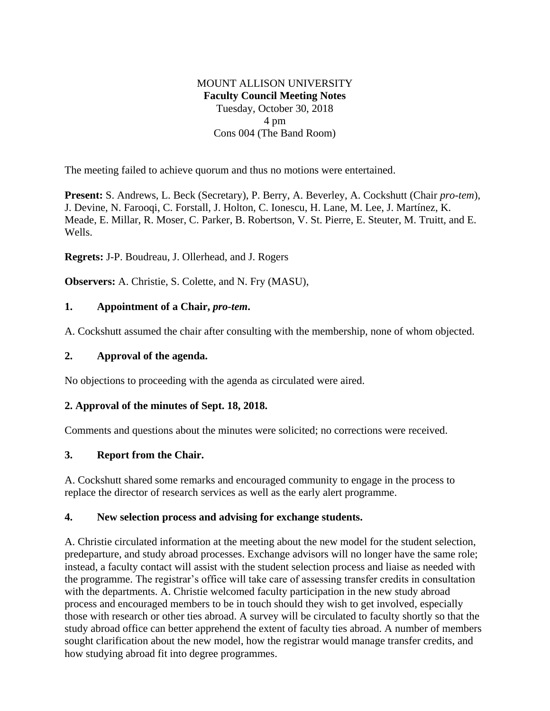# MOUNT ALLISON UNIVERSITY **Faculty Council Meeting Notes** Tuesday, October 30, 2018 4 pm Cons 004 (The Band Room)

The meeting failed to achieve quorum and thus no motions were entertained.

**Present:** S. Andrews, L. Beck (Secretary), P. Berry, A. Beverley, A. Cockshutt (Chair *pro-tem*), J. Devine, N. Farooqi, C. Forstall, J. Holton, C. Ionescu, H. Lane, M. Lee, J. Martínez, K. Meade, E. Millar, R. Moser, C. Parker, B. Robertson, V. St. Pierre, E. Steuter, M. Truitt, and E. Wells.

**Regrets:** J-P. Boudreau, J. Ollerhead, and J. Rogers

**Observers:** A. Christie, S. Colette, and N. Fry (MASU),

### **1. Appointment of a Chair,** *pro-tem***.**

A. Cockshutt assumed the chair after consulting with the membership, none of whom objected.

### **2. Approval of the agenda.**

No objections to proceeding with the agenda as circulated were aired.

### **2. Approval of the minutes of Sept. 18, 2018.**

Comments and questions about the minutes were solicited; no corrections were received.

### **3. Report from the Chair.**

A. Cockshutt shared some remarks and encouraged community to engage in the process to replace the director of research services as well as the early alert programme.

### **4. New selection process and advising for exchange students.**

A. Christie circulated information at the meeting about the new model for the student selection, predeparture, and study abroad processes. Exchange advisors will no longer have the same role; instead, a faculty contact will assist with the student selection process and liaise as needed with the programme. The registrar's office will take care of assessing transfer credits in consultation with the departments. A. Christie welcomed faculty participation in the new study abroad process and encouraged members to be in touch should they wish to get involved, especially those with research or other ties abroad. A survey will be circulated to faculty shortly so that the study abroad office can better apprehend the extent of faculty ties abroad. A number of members sought clarification about the new model, how the registrar would manage transfer credits, and how studying abroad fit into degree programmes.